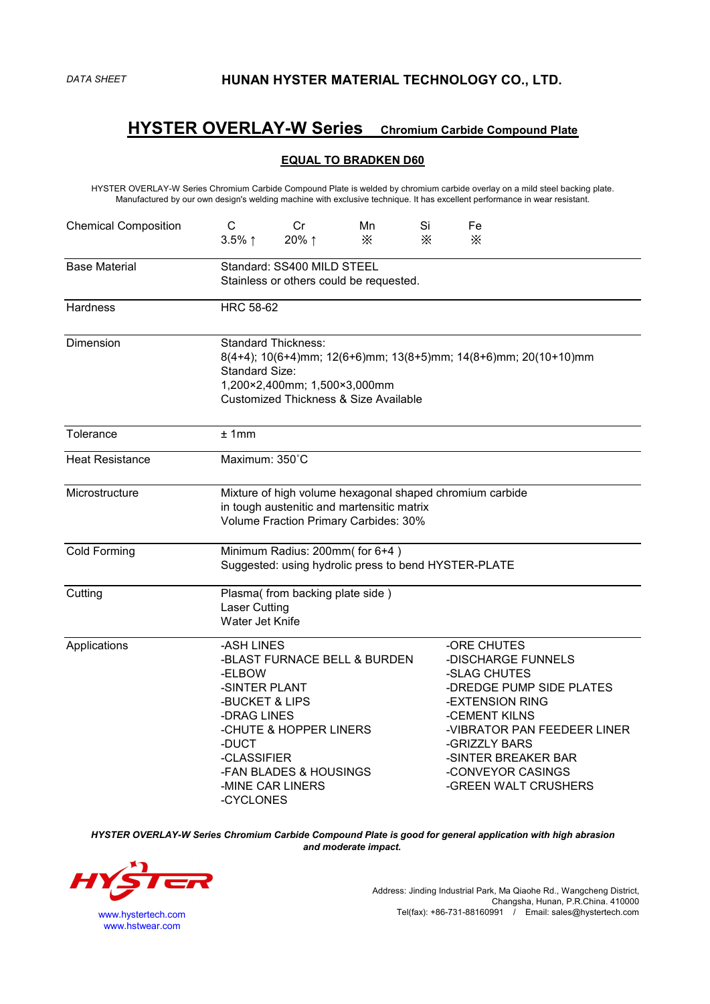# **HYSTER OVERLAY-W Series Chromium Carbide Compound Plate**

### **EQUAL TO BRADKEN D60**

HYSTER OVERLAY-W Series Chromium Carbide Compound Plate is welded bychromium carbide overlay on a mild steel backing plate. Manufactured byour own design's welding machine with exclusive technique. It has excellent performance in wear resistant.

| <b>Chemical Composition</b> | $\mathsf{C}$<br>$3.5\%$ ↑                                                                                                                                                                           | Cr<br>20%↑                                                                                           | Mn<br>X | Si<br>$\times$ | Fe<br>$\times$                                                                   |                                                                                                                                                   |  |  |  |
|-----------------------------|-----------------------------------------------------------------------------------------------------------------------------------------------------------------------------------------------------|------------------------------------------------------------------------------------------------------|---------|----------------|----------------------------------------------------------------------------------|---------------------------------------------------------------------------------------------------------------------------------------------------|--|--|--|
| <b>Base Material</b>        | Standard: SS400 MILD STEEL<br>Stainless or others could be requested.                                                                                                                               |                                                                                                      |         |                |                                                                                  |                                                                                                                                                   |  |  |  |
| Hardness                    | <b>HRC 58-62</b>                                                                                                                                                                                    |                                                                                                      |         |                |                                                                                  |                                                                                                                                                   |  |  |  |
| Dimension                   | <b>Standard Thickness:</b><br>8(4+4); 10(6+4)mm; 12(6+6)mm; 13(8+5)mm; 14(8+6)mm; 20(10+10)mm<br>Standard Size:<br>1,200×2,400mm; 1,500×3,000mm<br><b>Customized Thickness &amp; Size Available</b> |                                                                                                      |         |                |                                                                                  |                                                                                                                                                   |  |  |  |
| Tolerance                   | ±1mm                                                                                                                                                                                                |                                                                                                      |         |                |                                                                                  |                                                                                                                                                   |  |  |  |
| <b>Heat Resistance</b>      | Maximum: 350°C                                                                                                                                                                                      |                                                                                                      |         |                |                                                                                  |                                                                                                                                                   |  |  |  |
| Microstructure              | Mixture of high volume hexagonal shaped chromium carbide<br>in tough austenitic and martensitic matrix<br>Volume Fraction Primary Carbides: 30%                                                     |                                                                                                      |         |                |                                                                                  |                                                                                                                                                   |  |  |  |
| Cold Forming                | Minimum Radius: 200mm( for 6+4)<br>Suggested: using hydrolic press to bend HYSTER-PLATE                                                                                                             |                                                                                                      |         |                |                                                                                  |                                                                                                                                                   |  |  |  |
| Cutting                     | <b>Laser Cutting</b><br>Water Jet Knife                                                                                                                                                             | Plasma(from backing plate side)                                                                      |         |                |                                                                                  |                                                                                                                                                   |  |  |  |
| Applications                | -ASH LINES<br>-ELBOW<br>-SINTER PLANT<br>-BUCKET & LIPS<br>-DRAG LINES<br>-DUCT<br>-CLASSIFIER<br>-CYCLONES                                                                                         | -BLAST FURNACE BELL & BURDEN<br>-CHUTE & HOPPER LINERS<br>-FAN BLADES & HOUSINGS<br>-MINE CAR LINERS |         |                | -ORE CHUTES<br>-SLAG CHUTES<br>-EXTENSION RING<br>-CEMENT KILNS<br>-GRIZZLY BARS | -DISCHARGE FUNNELS<br>-DREDGE PUMP SIDE PLATES<br>-VIBRATOR PAN FEEDEER LINER<br>-SINTER BREAKER BAR<br>-CONVEYOR CASINGS<br>-GREEN WALT CRUSHERS |  |  |  |

*HYSTER OVERLAY-W Series Chromium Carbide Compound Plate is good for general application with high abrasion and moderate impact.*



www.hstwear.com

Address: Jinding Industrial Park, Ma Qiaohe Rd., Wangcheng District, Changsha, Hunan, P.R.China. 410000 www.hystertech.com Tel(fax): +86-731-88160991 *I* Email: sales@hystertech.com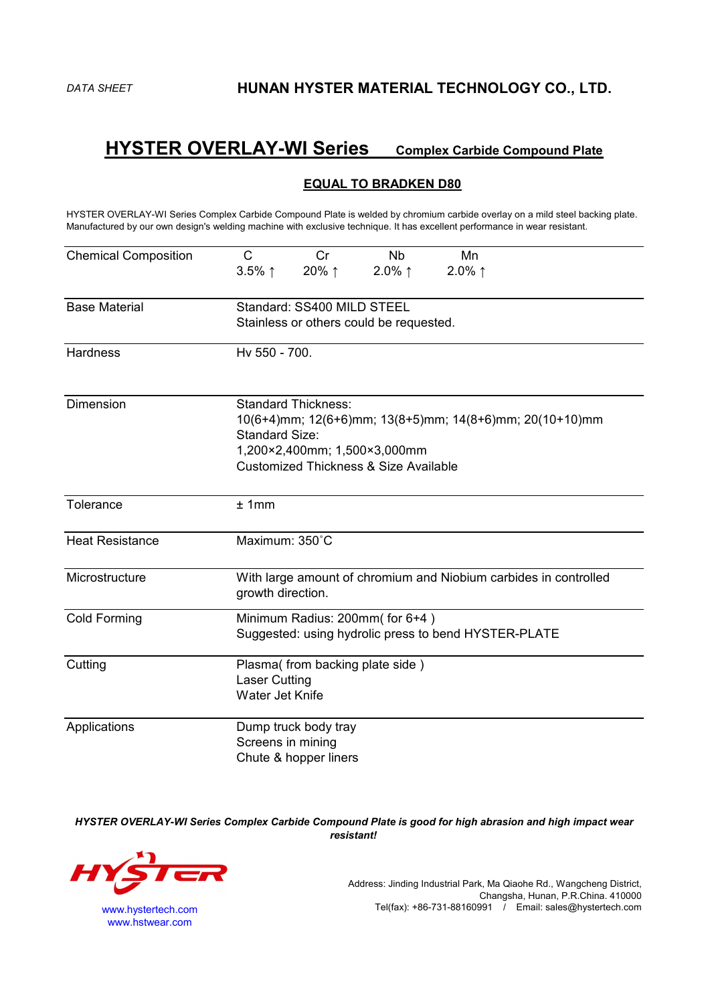# **HYSTER OVERLAY-WI Series Complex Carbide Compound Plate**

## **EQUAL TO BRADKEN D80**

HYSTER OVERLAY-WI Series Complex Carbide Compound Plate is welded by chromium carbide overlay on a mild steel backing plate. Manufactured by our own design's welding machine with exclusive technique. It has excellent performance in wear resistant.

| <b>Chemical Composition</b> | C<br>Cr<br><b>Nb</b><br>Mn                                                            |  |  |  |  |  |  |
|-----------------------------|---------------------------------------------------------------------------------------|--|--|--|--|--|--|
|                             | 20%↑<br>2.0% $\uparrow$<br>2.0% $\uparrow$<br>$3.5\%$ ↑                               |  |  |  |  |  |  |
| <b>Base Material</b>        | Standard: SS400 MILD STEEL                                                            |  |  |  |  |  |  |
|                             | Stainless or others could be requested.                                               |  |  |  |  |  |  |
| Hardness                    | Hv 550 - 700.                                                                         |  |  |  |  |  |  |
| Dimension                   | <b>Standard Thickness:</b><br>10(6+4)mm; 12(6+6)mm; 13(8+5)mm; 14(8+6)mm; 20(10+10)mm |  |  |  |  |  |  |
|                             | Standard Size:                                                                        |  |  |  |  |  |  |
|                             | 1,200×2,400mm; 1,500×3,000mm                                                          |  |  |  |  |  |  |
|                             | <b>Customized Thickness &amp; Size Available</b>                                      |  |  |  |  |  |  |
| Tolerance                   | ±1mm                                                                                  |  |  |  |  |  |  |
| <b>Heat Resistance</b>      | Maximum: 350°C                                                                        |  |  |  |  |  |  |
| Microstructure              | With large amount of chromium and Niobium carbides in controlled<br>growth direction. |  |  |  |  |  |  |
| <b>Cold Forming</b>         | Minimum Radius: 200mm( for 6+4)                                                       |  |  |  |  |  |  |
|                             | Suggested: using hydrolic press to bend HYSTER-PLATE                                  |  |  |  |  |  |  |
| Cutting                     | Plasma(from backing plate side)                                                       |  |  |  |  |  |  |
|                             | <b>Laser Cutting</b>                                                                  |  |  |  |  |  |  |
|                             | Water Jet Knife                                                                       |  |  |  |  |  |  |
| Applications                | Dump truck body tray                                                                  |  |  |  |  |  |  |
|                             | Screens in mining                                                                     |  |  |  |  |  |  |
|                             | Chute & hopper liners                                                                 |  |  |  |  |  |  |

*HYSTER OVERLAY-WI Series Complex Carbide Compound Plate is good for high abrasion and high impact wear resistant!*



www.hstwear.com

Address: Jinding Industrial Park, Ma Qiaohe Rd., Wangcheng District, Changsha, Hunan, P.R.China. 410000 www.hystertech.com Tel(fax): +86-731-88160991 / Email: sales@hystertech.com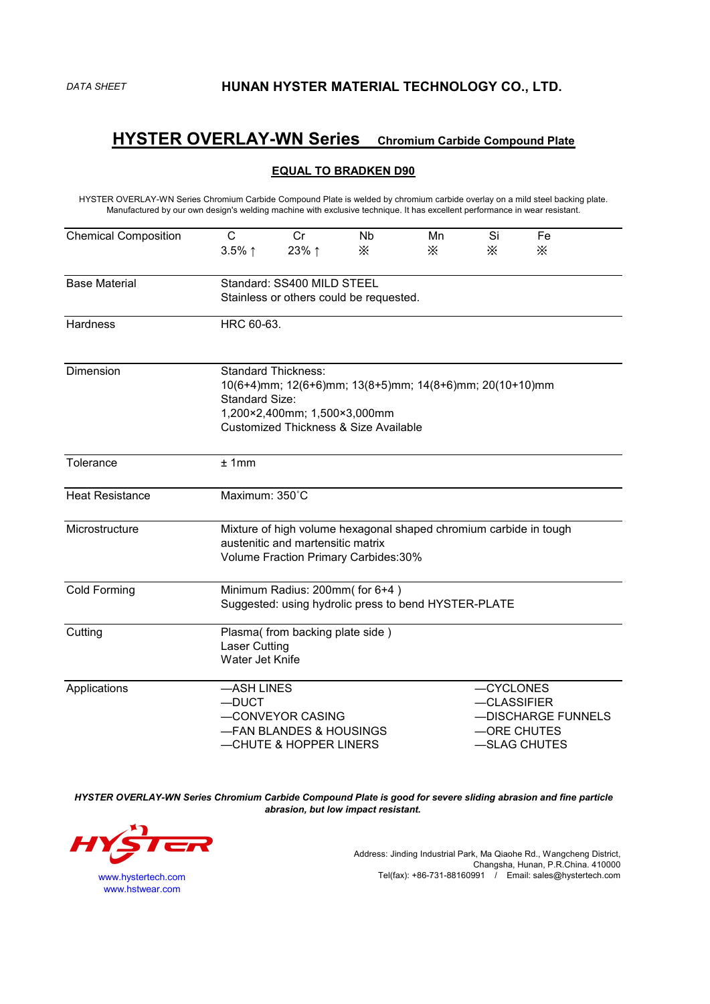*DATA SHEET* **HUNAN HYSTER MATERIAL TECHNOLOGY CO., LTD.**

## **HYSTER OVERLAY-WN Series Chromium Carbide Compound Plate**

### **EQUAL TO BRADKEN D90**

HYSTER OVERLAY-WN Series Chromium Carbide Compound Plate is welded bychromium carbide overlay on a mild steel backing plate. Manufactured byour own design's welding machine with exclusive technique. It has excellent performance in wear resistant.

| <b>Chemical Composition</b> | $\mathsf{C}$                                                                           | Cr                                               | <b>Nb</b> | Mn | Si          | Fe           |  |  |  |
|-----------------------------|----------------------------------------------------------------------------------------|--------------------------------------------------|-----------|----|-------------|--------------|--|--|--|
|                             | $3.5\%$ ↑                                                                              | 23% ↑                                            | $\times$  | X  | $\times$    | $\times$     |  |  |  |
|                             |                                                                                        |                                                  |           |    |             |              |  |  |  |
| <b>Base Material</b>        | Standard: SS400 MILD STEEL                                                             |                                                  |           |    |             |              |  |  |  |
|                             | Stainless or others could be requested.                                                |                                                  |           |    |             |              |  |  |  |
| Hardness                    | HRC 60-63.                                                                             |                                                  |           |    |             |              |  |  |  |
| Dimension                   | <b>Standard Thickness:</b>                                                             |                                                  |           |    |             |              |  |  |  |
|                             | 10(6+4)mm; 12(6+6)mm; 13(8+5)mm; 14(8+6)mm; 20(10+10)mm                                |                                                  |           |    |             |              |  |  |  |
|                             | Standard Size:<br>1,200×2,400mm; 1,500×3,000mm                                         |                                                  |           |    |             |              |  |  |  |
|                             |                                                                                        | <b>Customized Thickness &amp; Size Available</b> |           |    |             |              |  |  |  |
|                             |                                                                                        |                                                  |           |    |             |              |  |  |  |
| Tolerance                   | ±1mm                                                                                   |                                                  |           |    |             |              |  |  |  |
| <b>Heat Resistance</b>      | Maximum: 350°C                                                                         |                                                  |           |    |             |              |  |  |  |
| Microstructure              | Mixture of high volume hexagonal shaped chromium carbide in tough                      |                                                  |           |    |             |              |  |  |  |
|                             | austenitic and martensitic matrix                                                      |                                                  |           |    |             |              |  |  |  |
|                             | Volume Fraction Primary Carbides:30%                                                   |                                                  |           |    |             |              |  |  |  |
| Cold Forming                |                                                                                        |                                                  |           |    |             |              |  |  |  |
|                             | Minimum Radius: 200mm(for 6+4)<br>Suggested: using hydrolic press to bend HYSTER-PLATE |                                                  |           |    |             |              |  |  |  |
| Cutting                     | Plasma(from backing plate side)                                                        |                                                  |           |    |             |              |  |  |  |
|                             | Laser Cutting                                                                          |                                                  |           |    |             |              |  |  |  |
|                             | Water Jet Knife                                                                        |                                                  |           |    |             |              |  |  |  |
| Applications                | -ASH LINES                                                                             |                                                  |           |    | -CYCLONES   |              |  |  |  |
|                             | $-DUCT$                                                                                |                                                  |           |    | -CLASSIFIER |              |  |  |  |
|                             |                                                                                        | -CONVEYOR CASING<br>-DISCHARGE FUNNELS           |           |    |             |              |  |  |  |
|                             |                                                                                        | -FAN BLANDES & HOUSINGS                          |           |    |             | -ORE CHUTES  |  |  |  |
|                             |                                                                                        | -CHUTE & HOPPER LINERS                           |           |    |             | -SLAG CHUTES |  |  |  |

*HYSTER OVERLAY-WN Series Chromium Carbide Compound Plate is good for severe sliding abrasion and fine particle abrasion, but low impact resistant.*



Address: Jinding Industrial Park, Ma Qiaohe Rd., Wangcheng District, Changsha, Hunan, P.R.China. 410000 www.hystertech.com Tel(fax): +86-731-88160991 / Email: sales@hystertech.com